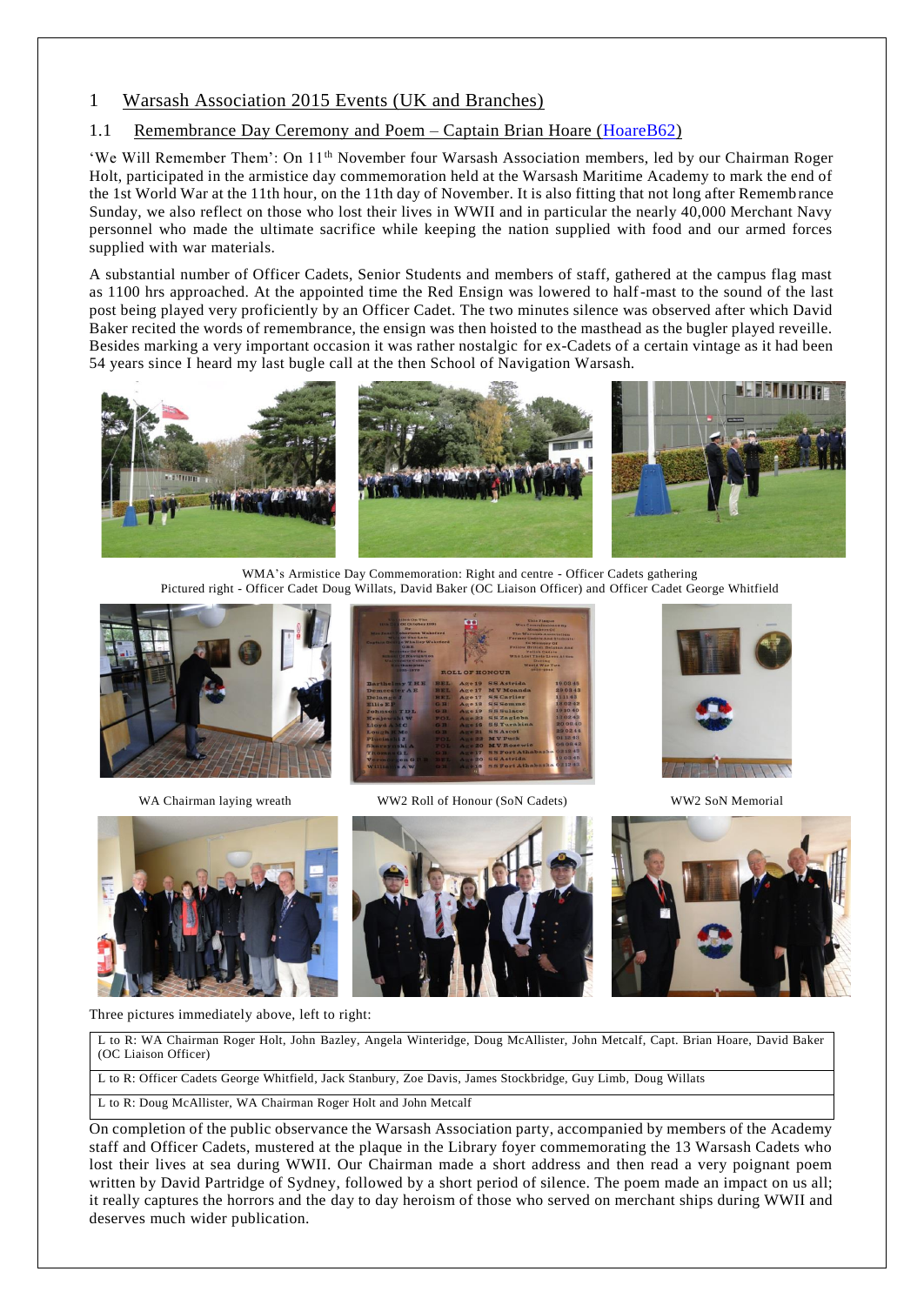## 1 Warsash Association 2015 Events (UK and Branches)

## 1.1 Remembrance Day Ceremony and Poem – Captain Brian Hoare [\(HoareB62\)](http://www.warsashassociation.net/site/members/view/hoareb62.htm)

'We Will Remember Them': On 11th November four Warsash Association members, led by our Chairman Roger Holt, participated in the armistice day commemoration held at the Warsash Maritime Academy to mark the end of the 1st World War at the 11th hour, on the 11th day of November. It is also fitting that not long after Rememb rance Sunday, we also reflect on those who lost their lives in WWII and in particular the nearly 40,000 Merchant Navy personnel who made the ultimate sacrifice while keeping the nation supplied with food and our armed forces supplied with war materials.

A substantial number of Officer Cadets, Senior Students and members of staff, gathered at the campus flag mast as 1100 hrs approached. At the appointed time the Red Ensign was lowered to half-mast to the sound of the last post being played very proficiently by an Officer Cadet. The two minutes silence was observed after which David Baker recited the words of remembrance, the ensign was then hoisted to the masthead as the bugler played reveille. Besides marking a very important occasion it was rather nostalgic for ex-Cadets of a certain vintage as it had been 54 years since I heard my last bugle call at the then School of Navigation Warsash.



WMA's Armistice Day Commemoration: Right and centre - Officer Cadets gathering Pictured right - Officer Cadet Doug Willats, David Baker (OC Liaison Officer) and Officer Cadet George Whitfield





WA Chairman laying wreath WW2 Roll of Honour (SoN Cadets) WW2 SoN Memorial









Three pictures immediately above, left to right:

L to R: WA Chairman Roger Holt, John Bazley, Angela Winteridge, Doug McAllister, John Metcalf, Capt. Brian Hoare, David Baker (OC Liaison Officer)

L to R: Officer Cadets George Whitfield, Jack Stanbury, Zoe Davis, James Stockbridge, Guy Limb, Doug Willats

L to R: Doug McAllister, WA Chairman Roger Holt and John Metcalf

On completion of the public observance the Warsash Association party, accompanied by members of the Academy staff and Officer Cadets, mustered at the plaque in the Library foyer commemorating the 13 Warsash Cadets who lost their lives at sea during WWII. Our Chairman made a short address and then read a very poignant poem written by David Partridge of Sydney, followed by a short period of silence. The poem made an impact on us all; it really captures the horrors and the day to day heroism of those who served on merchant ships during WWII and deserves much wider publication.